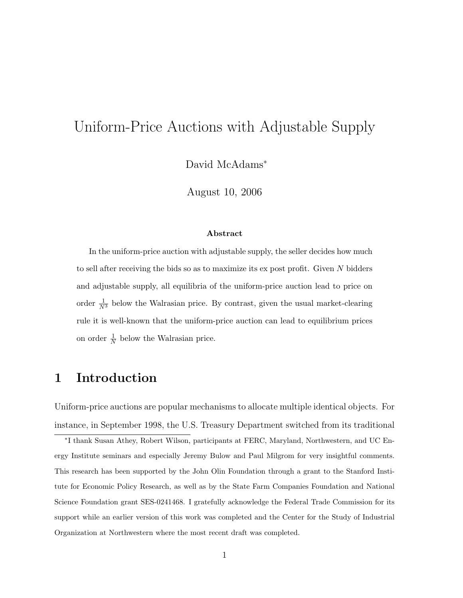# Uniform-Price Auctions with Adjustable Supply

David McAdams<sup>∗</sup>

August 10, 2006

#### Abstract

In the uniform-price auction with adjustable supply, the seller decides how much to sell after receiving the bids so as to maximize its ex post profit. Given N bidders and adjustable supply, all equilibria of the uniform-price auction lead to price on order  $\frac{1}{N^3}$  below the Walrasian price. By contrast, given the usual market-clearing rule it is well-known that the uniform-price auction can lead to equilibrium prices on order  $\frac{1}{N}$  below the Walrasian price.

# 1 Introduction

Uniform-price auctions are popular mechanisms to allocate multiple identical objects. For instance, in September 1998, the U.S. Treasury Department switched from its traditional

∗ I thank Susan Athey, Robert Wilson, participants at FERC, Maryland, Northwestern, and UC Energy Institute seminars and especially Jeremy Bulow and Paul Milgrom for very insightful comments. This research has been supported by the John Olin Foundation through a grant to the Stanford Institute for Economic Policy Research, as well as by the State Farm Companies Foundation and National Science Foundation grant SES-0241468. I gratefully acknowledge the Federal Trade Commission for its support while an earlier version of this work was completed and the Center for the Study of Industrial Organization at Northwestern where the most recent draft was completed.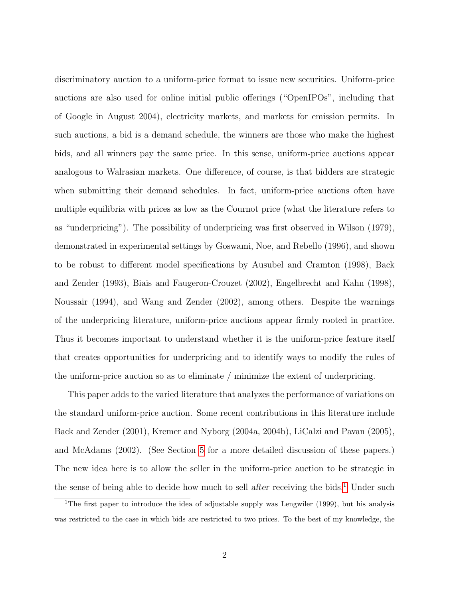discriminatory auction to a uniform-price format to issue new securities. Uniform-price auctions are also used for online initial public offerings ("OpenIPOs", including that of Google in August 2004), electricity markets, and markets for emission permits. In such auctions, a bid is a demand schedule, the winners are those who make the highest bids, and all winners pay the same price. In this sense, uniform-price auctions appear analogous to Walrasian markets. One difference, of course, is that bidders are strategic when submitting their demand schedules. In fact, uniform-price auctions often have multiple equilibria with prices as low as the Cournot price (what the literature refers to as "underpricing"). The possibility of underpricing was first observed in Wilson (1979), demonstrated in experimental settings by Goswami, Noe, and Rebello (1996), and shown to be robust to different model specifications by Ausubel and Cramton (1998), Back and Zender (1993), Biais and Faugeron-Crouzet (2002), Engelbrecht and Kahn (1998), Noussair (1994), and Wang and Zender (2002), among others. Despite the warnings of the underpricing literature, uniform-price auctions appear firmly rooted in practice. Thus it becomes important to understand whether it is the uniform-price feature itself that creates opportunities for underpricing and to identify ways to modify the rules of the uniform-price auction so as to eliminate / minimize the extent of underpricing.

This paper adds to the varied literature that analyzes the performance of variations on the standard uniform-price auction. Some recent contributions in this literature include Back and Zender (2001), Kremer and Nyborg (2004a, 2004b), LiCalzi and Pavan (2005), and McAdams (2002). (See Section [5](#page-26-0) for a more detailed discussion of these papers.) The new idea here is to allow the seller in the uniform-price auction to be strategic in the sense of being able to decide how much to sell after receiving the bids.<sup>[1](#page-1-0)</sup> Under such

<span id="page-1-0"></span><sup>&</sup>lt;sup>1</sup>The first paper to introduce the idea of adjustable supply was Lengwiler (1999), but his analysis was restricted to the case in which bids are restricted to two prices. To the best of my knowledge, the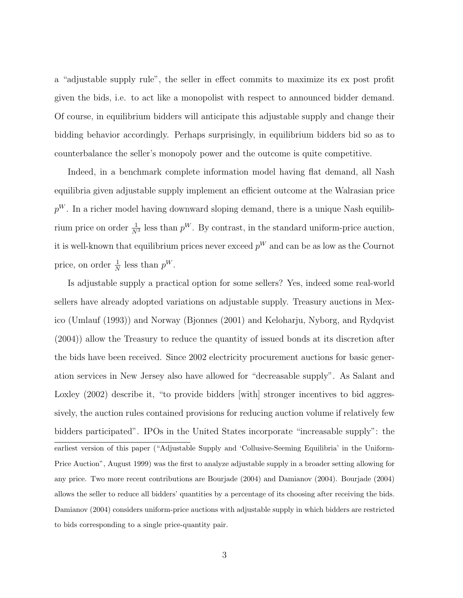a "adjustable supply rule", the seller in effect commits to maximize its ex post profit given the bids, i.e. to act like a monopolist with respect to announced bidder demand. Of course, in equilibrium bidders will anticipate this adjustable supply and change their bidding behavior accordingly. Perhaps surprisingly, in equilibrium bidders bid so as to counterbalance the seller's monopoly power and the outcome is quite competitive.

Indeed, in a benchmark complete information model having flat demand, all Nash equilibria given adjustable supply implement an efficient outcome at the Walrasian price  $p^{W}$ . In a richer model having downward sloping demand, there is a unique Nash equilibrium price on order  $\frac{1}{N^3}$  less than  $p^W$ . By contrast, in the standard uniform-price auction, it is well-known that equilibrium prices never exceed  $p^{W}$  and can be as low as the Cournot price, on order  $\frac{1}{N}$  less than  $p^W$ .

Is adjustable supply a practical option for some sellers? Yes, indeed some real-world sellers have already adopted variations on adjustable supply. Treasury auctions in Mexico (Umlauf (1993)) and Norway (Bjonnes (2001) and Keloharju, Nyborg, and Rydqvist (2004)) allow the Treasury to reduce the quantity of issued bonds at its discretion after the bids have been received. Since 2002 electricity procurement auctions for basic generation services in New Jersey also have allowed for "decreasable supply". As Salant and Loxley (2002) describe it, "to provide bidders [with] stronger incentives to bid aggressively, the auction rules contained provisions for reducing auction volume if relatively few bidders participated". IPOs in the United States incorporate "increasable supply": the earliest version of this paper ("Adjustable Supply and 'Collusive-Seeming Equilibria' in the Uniform-Price Auction", August 1999) was the first to analyze adjustable supply in a broader setting allowing for any price. Two more recent contributions are Bourjade (2004) and Damianov (2004). Bourjade (2004) allows the seller to reduce all bidders' quantities by a percentage of its choosing after receiving the bids. Damianov (2004) considers uniform-price auctions with adjustable supply in which bidders are restricted to bids corresponding to a single price-quantity pair.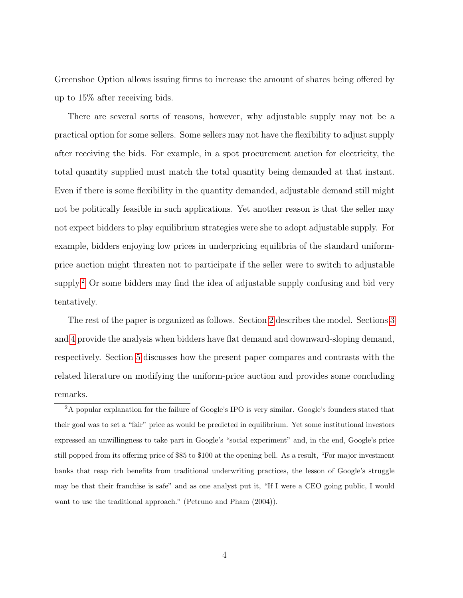Greenshoe Option allows issuing firms to increase the amount of shares being offered by up to 15% after receiving bids.

There are several sorts of reasons, however, why adjustable supply may not be a practical option for some sellers. Some sellers may not have the flexibility to adjust supply after receiving the bids. For example, in a spot procurement auction for electricity, the total quantity supplied must match the total quantity being demanded at that instant. Even if there is some flexibility in the quantity demanded, adjustable demand still might not be politically feasible in such applications. Yet another reason is that the seller may not expect bidders to play equilibrium strategies were she to adopt adjustable supply. For example, bidders enjoying low prices in underpricing equilibria of the standard uniformprice auction might threaten not to participate if the seller were to switch to adjustable supply.<sup>[2](#page-3-0)</sup> Or some bidders may find the idea of adjustable supply confusing and bid very tentatively.

The rest of the paper is organized as follows. Section [2](#page-4-0) describes the model. Sections [3](#page-8-0) and [4](#page-13-0) provide the analysis when bidders have flat demand and downward-sloping demand, respectively. Section [5](#page-26-0) discusses how the present paper compares and contrasts with the related literature on modifying the uniform-price auction and provides some concluding remarks.

<span id="page-3-0"></span><sup>&</sup>lt;sup>2</sup>A popular explanation for the failure of Google's IPO is very similar. Google's founders stated that their goal was to set a "fair" price as would be predicted in equilibrium. Yet some institutional investors expressed an unwillingness to take part in Google's "social experiment" and, in the end, Google's price still popped from its offering price of \$85 to \$100 at the opening bell. As a result, "For major investment banks that reap rich benefits from traditional underwriting practices, the lesson of Google's struggle may be that their franchise is safe" and as one analyst put it, "If I were a CEO going public, I would want to use the traditional approach." (Petruno and Pham (2004)).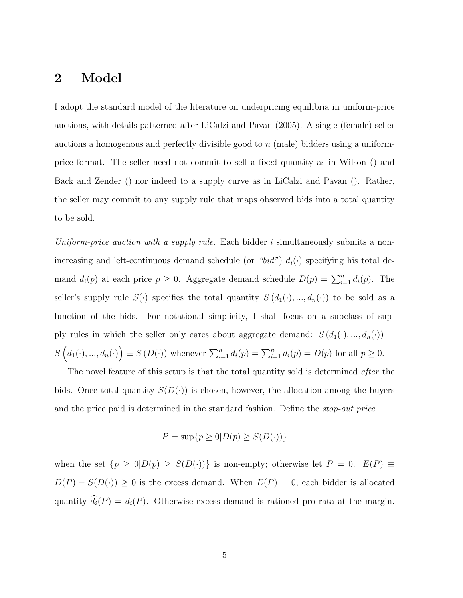## <span id="page-4-0"></span>2 Model

I adopt the standard model of the literature on underpricing equilibria in uniform-price auctions, with details patterned after LiCalzi and Pavan (2005). A single (female) seller auctions a homogenous and perfectly divisible good to n (male) bidders using a uniformprice format. The seller need not commit to sell a fixed quantity as in Wilson () and Back and Zender () nor indeed to a supply curve as in LiCalzi and Pavan (). Rather, the seller may commit to any supply rule that maps observed bids into a total quantity to be sold.

Uniform-price auction with a supply rule. Each bidder i simultaneously submits a nonincreasing and left-continuous demand schedule (or "bid")  $d_i(\cdot)$  specifying his total demand  $d_i(p)$  at each price  $p \geq 0$ . Aggregate demand schedule  $D(p) = \sum_{i=1}^n d_i(p)$ . The seller's supply rule  $S(\cdot)$  specifies the total quantity  $S(d_1(\cdot),...,d_n(\cdot))$  to be sold as a function of the bids. For notational simplicity, I shall focus on a subclass of supply rules in which the seller only cares about aggregate demand:  $S(d_1(\cdot), ..., d_n(\cdot)) =$  $S\left(\tilde{d}_1(\cdot),...,\tilde{d}_n(\cdot)\right) \equiv S\left(D(\cdot)\right)$  whenever  $\sum_{i=1}^n d_i(p) = \sum_{i=1}^n \tilde{d}_i(p) = D(p)$  for all  $p \ge 0$ .

The novel feature of this setup is that the total quantity sold is determined *after* the bids. Once total quantity  $S(D(\cdot))$  is chosen, however, the allocation among the buyers and the price paid is determined in the standard fashion. Define the stop-out price

$$
P = \sup\{p \ge 0 | D(p) \ge S(D(\cdot))\}
$$

when the set  $\{p \ge 0 | D(p) \ge S(D(\cdot))\}$  is non-empty; otherwise let  $P = 0$ .  $E(P) \equiv$  $D(P) - S(D(\cdot)) \ge 0$  is the excess demand. When  $E(P) = 0$ , each bidder is allocated quantity  $\hat{d}_i(P) = d_i(P)$ . Otherwise excess demand is rationed pro rata at the margin.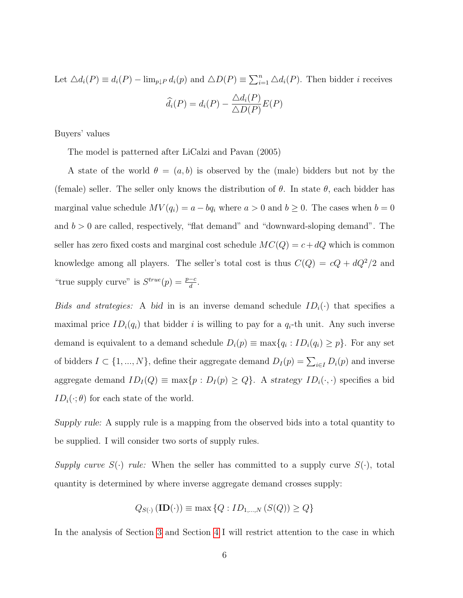Let  $\Delta d_i(P) \equiv d_i(P) - \lim_{p \downarrow P} d_i(p)$  and  $\Delta D(P) \equiv \sum_{i=1}^n \Delta d_i(P)$ . Then bidder *i* receives  $d_i(P) = d_i(P) \triangle d_i(P)$  $\triangle D(P)$  $E(P)$ 

Buyers' values

The model is patterned after LiCalzi and Pavan (2005)

A state of the world  $\theta = (a, b)$  is observed by the (male) bidders but not by the (female) seller. The seller only knows the distribution of  $\theta$ . In state  $\theta$ , each bidder has marginal value schedule  $MV(q_i) = a - bq_i$  where  $a > 0$  and  $b \ge 0$ . The cases when  $b = 0$ and  $b > 0$  are called, respectively, "flat demand" and "downward-sloping demand". The seller has zero fixed costs and marginal cost schedule  $MC(Q) = c + dQ$  which is common knowledge among all players. The seller's total cost is thus  $C(Q) = cQ + dQ^2/2$  and "true supply curve" is  $S^{true}(p) = \frac{p-c}{d}$ .

Bids and strategies: A bid in is an inverse demand schedule  $ID_i(\cdot)$  that specifies a maximal price  $ID_i(q_i)$  that bidder i is willing to pay for a  $q_i$ -th unit. Any such inverse demand is equivalent to a demand schedule  $D_i(p) \equiv \max\{q_i : ID_i(q_i) \geq p\}$ . For any set of bidders  $I \subset \{1, ..., N\}$ , define their aggregate demand  $D_I(p) = \sum_{i \in I} D_i(p)$  and inverse aggregate demand  $ID_I(Q) \equiv \max\{p : D_I(p) \geq Q\}$ . A strategy  $ID_i(\cdot, \cdot)$  specifies a bid  $ID_i(\cdot; \theta)$  for each state of the world.

Supply rule: A supply rule is a mapping from the observed bids into a total quantity to be supplied. I will consider two sorts of supply rules.

Supply curve  $S(\cdot)$  rule: When the seller has committed to a supply curve  $S(\cdot)$ , total quantity is determined by where inverse aggregate demand crosses supply:

$$
Q_{S(\cdot)}(\mathbf{ID}(\cdot)) \equiv \max\left\{Q: ID_{1,\dots,N}\left(S(Q)\right) \ge Q\right\}
$$

In the analysis of Section [3](#page-8-0) and Section [4](#page-13-0) I will restrict attention to the case in which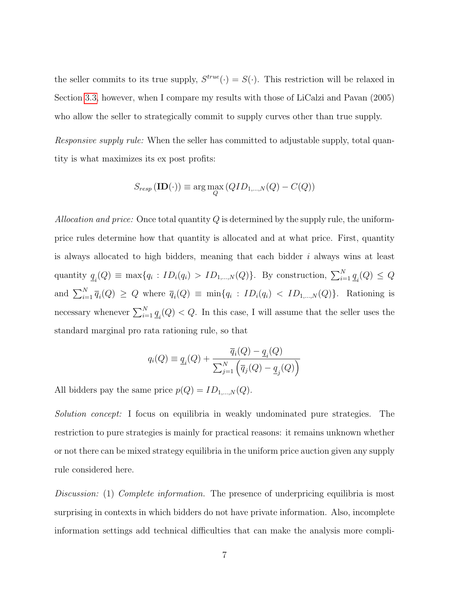the seller commits to its true supply,  $S^{true}(\cdot) = S(\cdot)$ . This restriction will be relaxed in Section [3.3,](#page-12-0) however, when I compare my results with those of LiCalzi and Pavan (2005) who allow the seller to strategically commit to supply curves other than true supply.

Responsive supply rule: When the seller has committed to adjustable supply, total quantity is what maximizes its ex post profits:

$$
S_{resp} (\mathbf{ID}(\cdot)) \equiv \arg \max_{Q} (QID_{1,\dots,N}(Q) - C(Q))
$$

Allocation and price: Once total quantity  $Q$  is determined by the supply rule, the uniformprice rules determine how that quantity is allocated and at what price. First, quantity is always allocated to high bidders, meaning that each bidder  $i$  always wins at least quantity  $q_i(Q) \equiv \max\{q_i : ID_i(q_i) > ID_{1,\dots,N}(Q)\}\$ . By construction,  $\sum_{i=1}^{N} \underline{q}_i(Q) \le Q$ and  $\sum_{i=1}^{N} \overline{q}_i(Q) \ge Q$  where  $\overline{q}_i(Q) \equiv \min\{q_i : ID_i(q_i) < ID_{1,\dots,N}(Q)\}\$ . Rationing is necessary whenever  $\sum_{i=1}^{N} \underline{q}_i(Q) < Q$ . In this case, I will assume that the seller uses the standard marginal pro rata rationing rule, so that

$$
q_i(Q) \equiv \underline{q}_i(Q) + \frac{\overline{q}_i(Q) - \underline{q}_i(Q)}{\sum_{j=1}^N \left(\overline{q}_j(Q) - \underline{q}_j(Q)\right)}
$$

All bidders pay the same price  $p(Q) = ID_{1,\dots,N}(Q)$ .

Solution concept: I focus on equilibria in weakly undominated pure strategies. The restriction to pure strategies is mainly for practical reasons: it remains unknown whether or not there can be mixed strategy equilibria in the uniform price auction given any supply rule considered here.

Discussion: (1) Complete information. The presence of underpricing equilibria is most surprising in contexts in which bidders do not have private information. Also, incomplete information settings add technical difficulties that can make the analysis more compli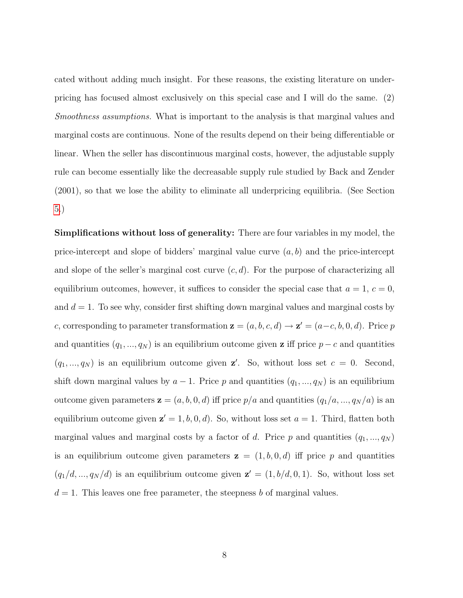cated without adding much insight. For these reasons, the existing literature on underpricing has focused almost exclusively on this special case and I will do the same. (2) Smoothness assumptions. What is important to the analysis is that marginal values and marginal costs are continuous. None of the results depend on their being differentiable or linear. When the seller has discontinuous marginal costs, however, the adjustable supply rule can become essentially like the decreasable supply rule studied by Back and Zender (2001), so that we lose the ability to eliminate all underpricing equilibria. (See Section [5.](#page-26-0))

Simplifications without loss of generality: There are four variables in my model, the price-intercept and slope of bidders' marginal value curve  $(a, b)$  and the price-intercept and slope of the seller's marginal cost curve  $(c, d)$ . For the purpose of characterizing all equilibrium outcomes, however, it suffices to consider the special case that  $a = 1, c = 0$ , and  $d = 1$ . To see why, consider first shifting down marginal values and marginal costs by c, corresponding to parameter transformation  $z = (a, b, c, d) \rightarrow z' = (a-c, b, 0, d)$ . Price p and quantities  $(q_1, ..., q_N)$  is an equilibrium outcome given **z** iff price  $p - c$  and quantities  $(q_1, ..., q_N)$  is an equilibrium outcome given **z'**. So, without loss set  $c = 0$ . Second, shift down marginal values by  $a - 1$ . Price p and quantities  $(q_1, ..., q_N)$  is an equilibrium outcome given parameters  $\mathbf{z} = (a, b, 0, d)$  iff price  $p/a$  and quantities  $(q_1/a, ..., q_N/a)$  is an equilibrium outcome given  $\mathbf{z}' = 1, b, 0, d$ . So, without loss set  $a = 1$ . Third, flatten both marginal values and marginal costs by a factor of d. Price p and quantities  $(q_1, ..., q_N)$ is an equilibrium outcome given parameters  $z = (1, b, 0, d)$  iff price p and quantities  $(q_1/d, ..., q_N/d)$  is an equilibrium outcome given  $\mathbf{z}' = (1, b/d, 0, 1)$ . So, without loss set  $d = 1$ . This leaves one free parameter, the steepness b of marginal values.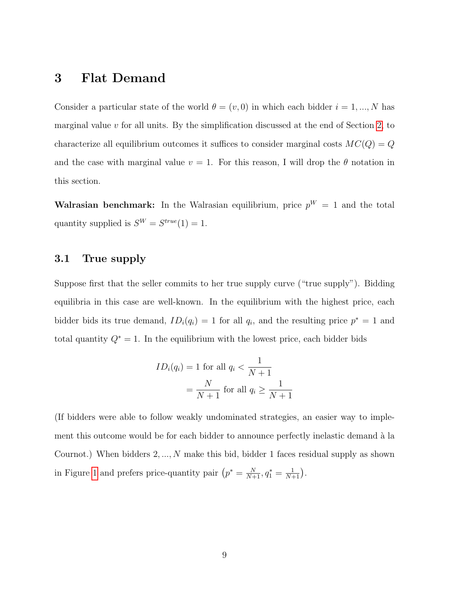# <span id="page-8-0"></span>3 Flat Demand

Consider a particular state of the world  $\theta = (v, 0)$  in which each bidder  $i = 1, ..., N$  has marginal value  $v$  for all units. By the simplification discussed at the end of Section [2,](#page-4-0) to characterize all equilibrium outcomes it suffices to consider marginal costs  $MC(Q) = Q$ and the case with marginal value  $v = 1$ . For this reason, I will drop the  $\theta$  notation in this section.

**Walrasian benchmark:** In the Walrasian equilibrium, price  $p^W = 1$  and the total quantity supplied is  $S^W = S^{true}(1) = 1$ .

#### 3.1 True supply

Suppose first that the seller commits to her true supply curve ("true supply"). Bidding equilibria in this case are well-known. In the equilibrium with the highest price, each bidder bids its true demand,  $ID_i(q_i) = 1$  for all  $q_i$ , and the resulting price  $p^* = 1$  and total quantity  $Q^* = 1$ . In the equilibrium with the lowest price, each bidder bids

$$
ID_i(q_i) = 1 \text{ for all } q_i < \frac{1}{N+1}
$$
\n
$$
= \frac{N}{N+1} \text{ for all } q_i \ge \frac{1}{N+1}
$$

(If bidders were able to follow weakly undominated strategies, an easier way to implement this outcome would be for each bidder to announce perfectly inelastic demand à la Cournot.) When bidders 2, ..., N make this bid, bidder 1 faces residual supply as shown in Figure [1](#page-9-0) and prefers price-quantity pair  $(p^* = \frac{N}{N+1}, q_1^* = \frac{1}{N+1})$ .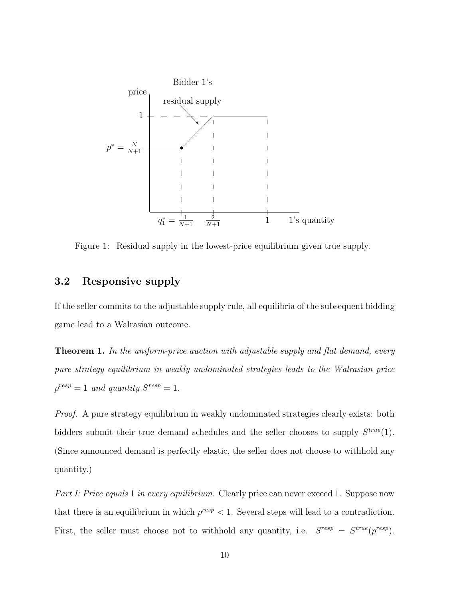

<span id="page-9-0"></span>Figure 1: Residual supply in the lowest-price equilibrium given true supply.

#### 3.2 Responsive supply

If the seller commits to the adjustable supply rule, all equilibria of the subsequent bidding game lead to a Walrasian outcome.

<span id="page-9-1"></span>**Theorem 1.** In the uniform-price auction with adjustable supply and flat demand, every pure strategy equilibrium in weakly undominated strategies leads to the Walrasian price  $p^{resp} = 1$  and quantity  $S^{resp} = 1$ .

Proof. A pure strategy equilibrium in weakly undominated strategies clearly exists: both bidders submit their true demand schedules and the seller chooses to supply  $S^{true}(1)$ . (Since announced demand is perfectly elastic, the seller does not choose to withhold any quantity.)

Part I: Price equals 1 in every equilibrium. Clearly price can never exceed 1. Suppose now that there is an equilibrium in which  $p^{resp} < 1$ . Several steps will lead to a contradiction. First, the seller must choose not to withhold any quantity, i.e.  $S^{resp} = S^{true}(p^{resp})$ .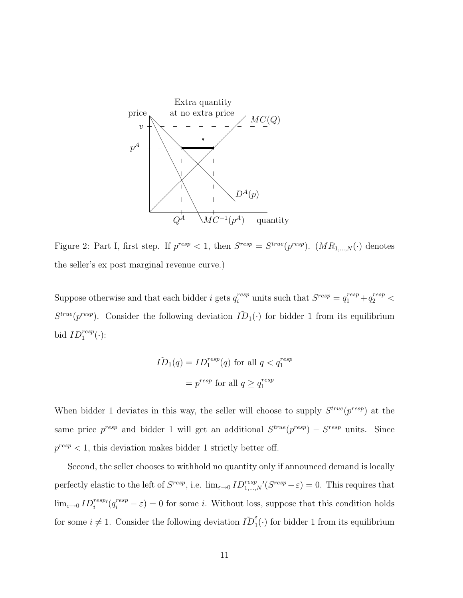

<span id="page-10-0"></span>Figure 2: Part I, first step. If  $p^{resp} < 1$ , then  $S^{resp} = S^{true}(p^{resp})$ .  $(MR_{1,\ldots,N}(\cdot))$  denotes the seller's ex post marginal revenue curve.)

Suppose otherwise and that each bidder *i* gets  $q_i^{resp}$  units such that  $S^{resp} = q_1^{resp} + q_2^{resp}$  $S^{true}(p^{resp})$ . Consider the following deviation  $\tilde{ID}_1(\cdot)$  for bidder 1 from its equilibrium bid  $ID_1^{resp}(\cdot)$ :

$$
\tilde{ID}_1(q) = ID_1^{resp}(q) \text{ for all } q < q_1^{resp}
$$
\n
$$
= p^{resp} \text{ for all } q \ge q_1^{resp}
$$

When bidder 1 deviates in this way, the seller will choose to supply  $S^{true}(p^{resp})$  at the same price  $p^{resp}$  and bidder 1 will get an additional  $S^{true}(p^{resp}) - S^{resp}$  units. Since  $p^{resp} < 1$ , this deviation makes bidder 1 strictly better off.

Second, the seller chooses to withhold no quantity only if announced demand is locally perfectly elastic to the left of  $S^{resp}$ , i.e.  $\lim_{\varepsilon \to 0} ID_{1,\dots,N}^{resp}/(S^{resp}-\varepsilon) = 0$ . This requires that  $\lim_{\varepsilon\to 0} ID_i^{resp}$   $(q_i^{resp} - \varepsilon) = 0$  for some *i*. Without loss, suppose that this condition holds for some  $i \neq 1$ . Consider the following deviation  $\tilde{ID}_1^{\varepsilon}(\cdot)$  for bidder 1 from its equilibrium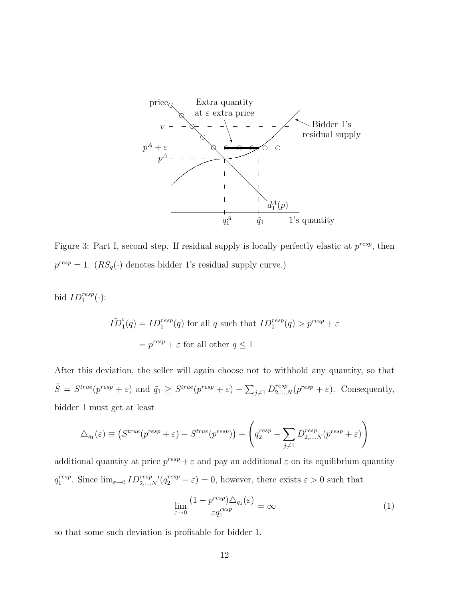

<span id="page-11-0"></span>Figure 3: Part I, second step. If residual supply is locally perfectly elastic at  $p^{resp}$ , then  $p^{resp} = 1.$   $(RS_q(\cdot)$  denotes bidder 1's residual supply curve.)

bid  $ID_1^{resp}(\cdot)$ :

$$
\tilde{ID}_1^{\varepsilon}(q) = ID_1^{resp}(q) \text{ for all } q \text{ such that } ID_1^{resp}(q) > p^{resp} + \varepsilon
$$

$$
= p^{resp} + \varepsilon \text{ for all other } q \le 1
$$

After this deviation, the seller will again choose not to withhold any quantity, so that  $\tilde{S} = S^{true}(p^{resp} + \varepsilon)$  and  $\tilde{q}_1 \geq S^{true}(p^{resp} + \varepsilon) - \sum_{j \neq 1} D_{2,...,N}^{resp}(p^{resp} + \varepsilon)$ . Consequently, bidder 1 must get at least

$$
\Delta_{q_1}(\varepsilon) \equiv \left( S^{true}(p^{resp} + \varepsilon) - S^{true}(p^{resp}) \right) + \left( q_2^{resp} - \sum_{j \neq 1} D_{2,...,N}^{resp}(p^{resp} + \varepsilon) \right)
$$

additional quantity at price  $p^{resp} + \varepsilon$  and pay an additional  $\varepsilon$  on its equilibrium quantity  $q_1^{resp}$ <sup>resp</sup>. Since  $\lim_{\varepsilon \to 0} ID_{2,...,N}^{resp}$   $(q_2^{resp} - \varepsilon) = 0$ , however, there exists  $\varepsilon > 0$  such that

<span id="page-11-1"></span>
$$
\lim_{\varepsilon \to 0} \frac{(1 - p^{resp}) \triangle_{q_1}(\varepsilon)}{\varepsilon q_1^{resp}} = \infty \tag{1}
$$

so that some such deviation is profitable for bidder 1.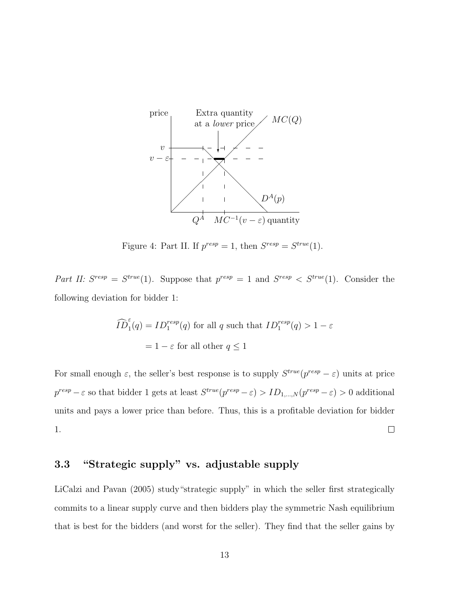

Figure 4: Part II. If  $p^{resp} = 1$ , then  $S^{resp} = S^{true}(1)$ .

Part II:  $S^{resp} = S^{true}(1)$ . Suppose that  $p^{resp} = 1$  and  $S^{resp} < S^{true}(1)$ . Consider the following deviation for bidder 1:

$$
\widehat{ID}_1^{\varepsilon}(q) = ID_1^{resp}(q) \text{ for all } q \text{ such that } ID_1^{resp}(q) > 1 - \varepsilon
$$

$$
= 1 - \varepsilon \text{ for all other } q \le 1
$$

For small enough  $\varepsilon$ , the seller's best response is to supply  $S^{true}(p^{resp}-\varepsilon)$  units at price  $p^{resp}-\varepsilon$  so that bidder 1 gets at least  $S^{true}(p^{resp}-\varepsilon) > ID_{1,...,N}(p^{resp}-\varepsilon) > 0$  additional units and pays a lower price than before. Thus, this is a profitable deviation for bidder 1.  $\Box$ 

### <span id="page-12-0"></span>3.3 "Strategic supply" vs. adjustable supply

LiCalzi and Pavan (2005) study"strategic supply" in which the seller first strategically commits to a linear supply curve and then bidders play the symmetric Nash equilibrium that is best for the bidders (and worst for the seller). They find that the seller gains by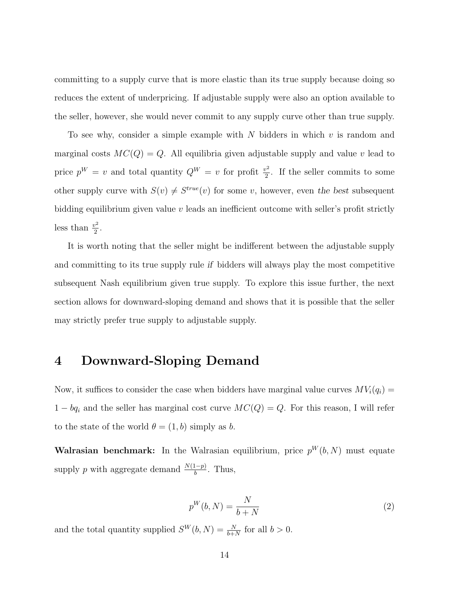committing to a supply curve that is more elastic than its true supply because doing so reduces the extent of underpricing. If adjustable supply were also an option available to the seller, however, she would never commit to any supply curve other than true supply.

To see why, consider a simple example with N bidders in which  $v$  is random and marginal costs  $MC(Q) = Q$ . All equilibria given adjustable supply and value v lead to price  $p^W = v$  and total quantity  $Q^W = v$  for profit  $\frac{v^2}{2}$  $\frac{y^2}{2}$ . If the seller commits to some other supply curve with  $S(v) \neq S^{true}(v)$  for some v, however, even the best subsequent bidding equilibrium given value v leads an inefficient outcome with seller's profit strictly less than  $\frac{v^2}{2}$  $\frac{1}{2}$ .

It is worth noting that the seller might be indifferent between the adjustable supply and committing to its true supply rule if bidders will always play the most competitive subsequent Nash equilibrium given true supply. To explore this issue further, the next section allows for downward-sloping demand and shows that it is possible that the seller may strictly prefer true supply to adjustable supply.

# <span id="page-13-0"></span>4 Downward-Sloping Demand

Now, it suffices to consider the case when bidders have marginal value curves  $MV_i(q_i)$  =  $1 - bq_i$  and the seller has marginal cost curve  $MC(Q) = Q$ . For this reason, I will refer to the state of the world  $\theta = (1, b)$  simply as b.

Walrasian benchmark: In the Walrasian equilibrium, price  $p^{W}(b, N)$  must equate supply p with aggregate demand  $\frac{N(1-p)}{b}$ . Thus,

<span id="page-13-1"></span>
$$
p^W(b, N) = \frac{N}{b + N} \tag{2}
$$

and the total quantity supplied  $S^{W}(b, N) = \frac{N}{b+N}$  for all  $b > 0$ .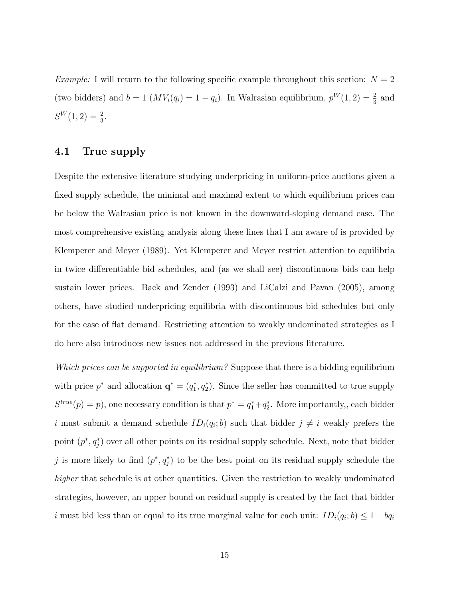*Example:* I will return to the following specific example throughout this section:  $N = 2$ (two bidders) and  $b = 1$   $(MV_i(q_i) = 1 - q_i)$ . In Walrasian equilibrium,  $p^W(1, 2) = \frac{2}{3}$  and  $S^W(1,2) = \frac{2}{3}.$ 

#### 4.1 True supply

Despite the extensive literature studying underpricing in uniform-price auctions given a fixed supply schedule, the minimal and maximal extent to which equilibrium prices can be below the Walrasian price is not known in the downward-sloping demand case. The most comprehensive existing analysis along these lines that I am aware of is provided by Klemperer and Meyer (1989). Yet Klemperer and Meyer restrict attention to equilibria in twice differentiable bid schedules, and (as we shall see) discontinuous bids can help sustain lower prices. Back and Zender (1993) and LiCalzi and Pavan (2005), among others, have studied underpricing equilibria with discontinuous bid schedules but only for the case of flat demand. Restricting attention to weakly undominated strategies as I do here also introduces new issues not addressed in the previous literature.

Which prices can be supported in equilibrium? Suppose that there is a bidding equilibrium with price  $p^*$  and allocation  $\mathbf{q}^* = (q_1^*, q_2^*)$ . Since the seller has committed to true supply  $S^{true}(p) = p$ , one necessary condition is that  $p^* = q_1^* + q_2^*$ . More importantly, each bidder i must submit a demand schedule  $ID_i(q_i; b)$  such that bidder  $j \neq i$  weakly prefers the point  $(p^*, q_j^*)$  over all other points on its residual supply schedule. Next, note that bidder j is more likely to find  $(p^*, q_j^*)$  to be the best point on its residual supply schedule the higher that schedule is at other quantities. Given the restriction to weakly undominated strategies, however, an upper bound on residual supply is created by the fact that bidder i must bid less than or equal to its true marginal value for each unit:  $ID_i(q_i; b) \leq 1 - bq_i$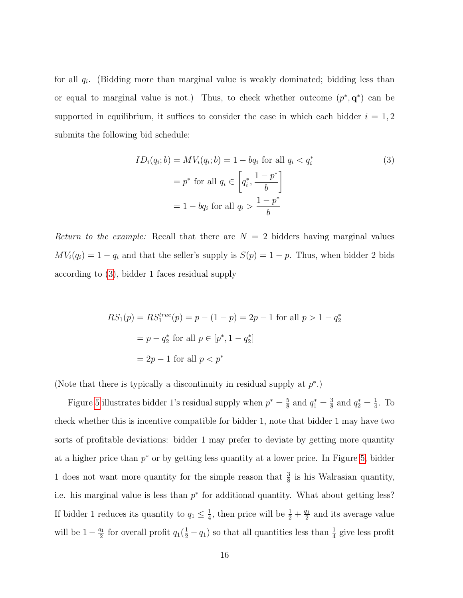for all  $q_i$ . (Bidding more than marginal value is weakly dominated; bidding less than or equal to marginal value is not.) Thus, to check whether outcome  $(p^*, q^*)$  can be supported in equilibrium, it suffices to consider the case in which each bidder  $i = 1, 2$ submits the following bid schedule:

<span id="page-15-0"></span>
$$
ID_i(q_i; b) = MV_i(q_i; b) = 1 - bq_i \text{ for all } q_i < q_i^* \tag{3}
$$
\n
$$
= p^* \text{ for all } q_i \in \left[ q_i^*, \frac{1 - p^*}{b} \right]
$$
\n
$$
= 1 - bq_i \text{ for all } q_i > \frac{1 - p^*}{b}
$$

Return to the example: Recall that there are  $N = 2$  bidders having marginal values  $MV_i(q_i) = 1 - q_i$  and that the seller's supply is  $S(p) = 1 - p$ . Thus, when bidder 2 bids according to [\(3\)](#page-15-0), bidder 1 faces residual supply

$$
RS_1(p) = RS_1^{true}(p) = p - (1 - p) = 2p - 1 \text{ for all } p > 1 - q_2^*
$$

$$
= p - q_2^* \text{ for all } p \in [p^*, 1 - q_2^*]
$$

$$
= 2p - 1 \text{ for all } p < p^*
$$

(Note that there is typically a discontinuity in residual supply at  $p^*$ .)

Figure [5](#page-16-0) illustrates bidder 1's residual supply when  $p^* = \frac{5}{8}$  $\frac{5}{8}$  and  $q_1^* = \frac{3}{8}$  $\frac{3}{8}$  and  $q_2^* = \frac{1}{4}$  $\frac{1}{4}$ . To check whether this is incentive compatible for bidder 1, note that bidder 1 may have two sorts of profitable deviations: bidder 1 may prefer to deviate by getting more quantity at a higher price than  $p^*$  or by getting less quantity at a lower price. In Figure [5,](#page-16-0) bidder 1 does not want more quantity for the simple reason that  $\frac{3}{8}$  is his Walrasian quantity, i.e. his marginal value is less than  $p^*$  for additional quantity. What about getting less? If bidder 1 reduces its quantity to  $q_1 \n\t\leq \frac{1}{4}$  $\frac{1}{4}$ , then price will be  $\frac{1}{2} + \frac{q_1}{2}$  $\frac{71}{2}$  and its average value will be  $1-\frac{q_1}{2}$  $\frac{q_1}{2}$  for overall profit  $q_1(\frac{1}{2} - q_1)$  so that all quantities less than  $\frac{1}{4}$  give less profit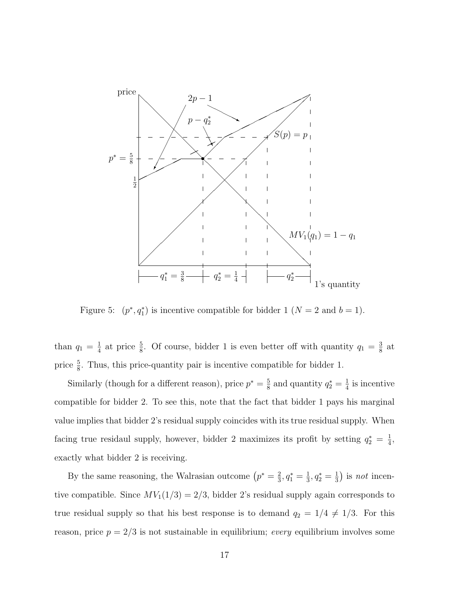

<span id="page-16-0"></span>Figure 5:  $(p^*, q_1^*)$  is incentive compatible for bidder 1  $(N = 2$  and  $b = 1)$ .

than  $q_1 = \frac{1}{4}$  $\frac{1}{4}$  at price  $\frac{5}{8}$ . Of course, bidder 1 is even better off with quantity  $q_1 = \frac{3}{8}$  $\frac{3}{8}$  at price  $\frac{5}{8}$ . Thus, this price-quantity pair is incentive compatible for bidder 1.

Similarly (though for a different reason), price  $p^* = \frac{5}{8}$  $\frac{5}{8}$  and quantity  $q_2^* = \frac{1}{4}$  $\frac{1}{4}$  is incentive compatible for bidder 2. To see this, note that the fact that bidder 1 pays his marginal value implies that bidder 2's residual supply coincides with its true residual supply. When facing true residaul supply, however, bidder 2 maximizes its profit by setting  $q_2^* = \frac{1}{4}$  $\frac{1}{4}$ , exactly what bidder 2 is receiving.

By the same reasoning, the Walrasian outcome  $(p^* = \frac{2}{3})$  $\frac{2}{3}, q_1^* = \frac{1}{3}$  $\frac{1}{3}, q_2^* = \frac{1}{3}$  $(\frac{1}{3})$  is *not* incentive compatible. Since  $MV_1(1/3) = 2/3$ , bidder 2's residual supply again corresponds to true residual supply so that his best response is to demand  $q_2 = 1/4 \neq 1/3$ . For this reason, price  $p = 2/3$  is not sustainable in equilibrium; *every* equilibrium involves some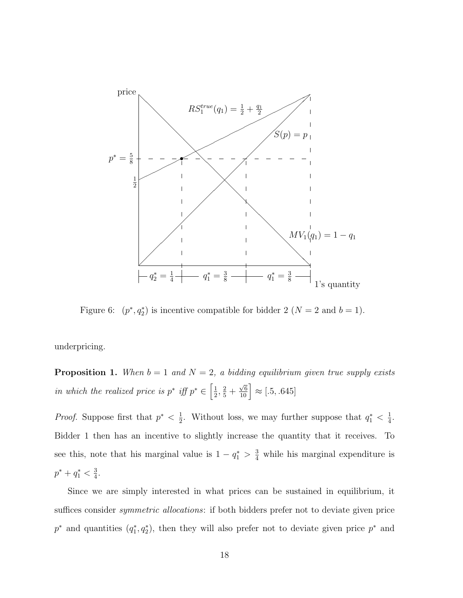

<span id="page-17-1"></span>Figure 6:  $(p^*, q_2^*)$  is incentive compatible for bidder 2  $(N = 2 \text{ and } b = 1)$ .

<span id="page-17-0"></span>underpricing.

**Proposition 1.** When  $b = 1$  and  $N = 2$ , a bidding equilibrium given true supply exists in which the realized price is  $p^*$  iff  $p^* \in \left[\frac{1}{2}\right]$  $\frac{1}{2}, \frac{2}{5} +$  $\left[\frac{\sqrt{6}}{10}\right] \approx [.5, .645]$ 

*Proof.* Suppose first that  $p^* < \frac{1}{2}$  $\frac{1}{2}$ . Without loss, we may further suppose that  $q_1^* < \frac{1}{4}$  $\frac{1}{4}$ . Bidder 1 then has an incentive to slightly increase the quantity that it receives. To see this, note that his marginal value is  $1 - q_1^* > \frac{3}{4}$  while his marginal expenditure is  $p^* + q_1^* < \frac{3}{4}$  $\frac{3}{4}$ .

Since we are simply interested in what prices can be sustained in equilibrium, it suffices consider *symmetric allocations*: if both bidders prefer not to deviate given price  $p^*$  and quantities  $(q_1^*, q_2^*)$ , then they will also prefer not to deviate given price  $p^*$  and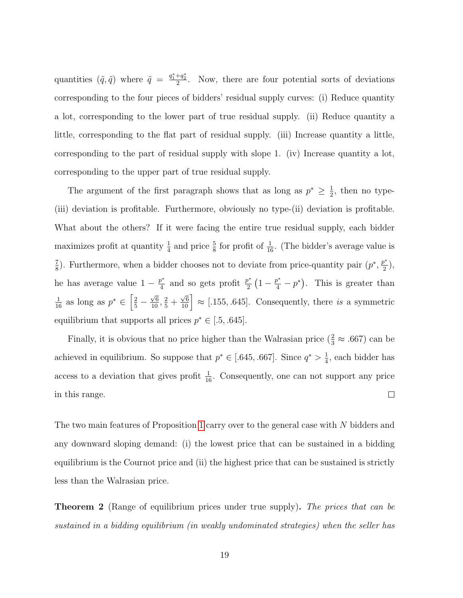quantities  $(\tilde{q}, \tilde{q})$  where  $\tilde{q} = \frac{q_1^* + q_2^*}{2}$ . Now, there are four potential sorts of deviations corresponding to the four pieces of bidders' residual supply curves: (i) Reduce quantity a lot, corresponding to the lower part of true residual supply. (ii) Reduce quantity a little, corresponding to the flat part of residual supply. (iii) Increase quantity a little, corresponding to the part of residual supply with slope 1. (iv) Increase quantity a lot, corresponding to the upper part of true residual supply.

The argument of the first paragraph shows that as long as  $p^* \geq \frac{1}{2}$  $\frac{1}{2}$ , then no type-(iii) deviation is profitable. Furthermore, obviously no type-(ii) deviation is profitable. What about the others? If it were facing the entire true residual supply, each bidder maximizes profit at quantity  $\frac{1}{4}$  and price  $\frac{5}{8}$  for profit of  $\frac{1}{16}$ . (The bidder's average value is 7  $\frac{7}{8}$ ). Furthermore, when a bidder chooses not to deviate from price-quantity pair  $(p^*, \frac{p^*}{2})$  $\frac{p^*}{2}),$ he has average value  $1 - \frac{p^*}{4}$  $\frac{p^*}{4}$  and so gets profit  $\frac{p^*}{2}$  $\frac{p^*}{2}(1-\frac{p^*}{4}-p^*)$ . This is greater than  $\frac{1}{16}$  as long as  $p^* \in \left[\frac{2}{5} - \right]$  $\frac{\sqrt{6}}{10}, \frac{2}{5}$  +  $\left(\frac{\sqrt{6}}{10}\right) \approx [.155, .645]$ . Consequently, there is a symmetric equilibrium that supports all prices  $p^* \in [.5, .645]$ .

Finally, it is obvious that no price higher than the Walrasian price  $(\frac{2}{3} \approx .667)$  can be achieved in equilibrium. So suppose that  $p^* \in [0.645, 0.667]$ . Since  $q^* > \frac{1}{4}$  $\frac{1}{4}$ , each bidder has access to a deviation that gives profit  $\frac{1}{16}$ . Consequently, one can not support any price in this range.  $\Box$ 

The two main features of Proposition [1](#page-17-0) carry over to the general case with N bidders and any downward sloping demand: (i) the lowest price that can be sustained in a bidding equilibrium is the Cournot price and (ii) the highest price that can be sustained is strictly less than the Walrasian price.

**Theorem 2** (Range of equilibrium prices under true supply). The prices that can be sustained in a bidding equilibrium (in weakly undominated strategies) when the seller has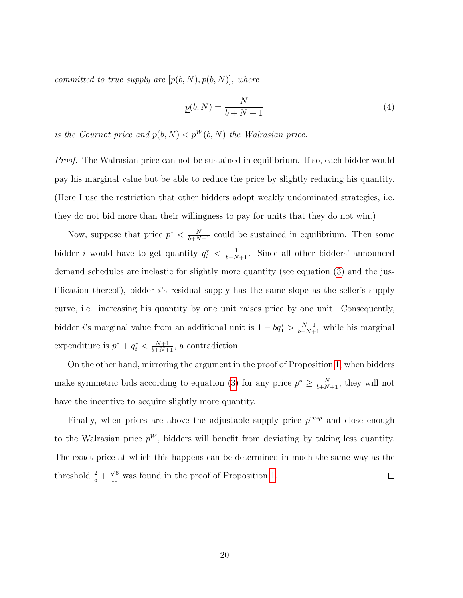committed to true supply are  $[p(b, N), \overline{p}(b, N)]$ , where

<span id="page-19-0"></span>
$$
\underline{p}(b,N) = \frac{N}{b+N+1} \tag{4}
$$

is the Cournot price and  $\bar{p}(b, N) < p^{W}(b, N)$  the Walrasian price.

*Proof.* The Walrasian price can not be sustained in equilibrium. If so, each bidder would pay his marginal value but be able to reduce the price by slightly reducing his quantity. (Here I use the restriction that other bidders adopt weakly undominated strategies, i.e. they do not bid more than their willingness to pay for units that they do not win.)

Now, suppose that price  $p^* < \frac{N}{b+N+1}$  could be sustained in equilibrium. Then some bidder *i* would have to get quantity  $q_i^* < \frac{1}{b+N+1}$ . Since all other bidders' announced demand schedules are inelastic for slightly more quantity (see equation [\(3\)](#page-15-0) and the justification thereof), bidder i's residual supply has the same slope as the seller's supply curve, i.e. increasing his quantity by one unit raises price by one unit. Consequently, bidder *i*'s marginal value from an additional unit is  $1 - bq_1^* > \frac{N+1}{b+N+1}$  while his marginal expenditure is  $p^* + q_i^* < \frac{N+1}{b+N+1}$ , a contradiction.

On the other hand, mirroring the argument in the proof of Proposition [1,](#page-17-0) when bidders make symmetric bids according to equation [\(3\)](#page-15-0) for any price  $p^* \geq \frac{N}{b+N+1}$ , they will not have the incentive to acquire slightly more quantity.

Finally, when prices are above the adjustable supply price  $p^{resp}$  and close enough to the Walrasian price  $p^W$ , bidders will benefit from deviating by taking less quantity. The exact price at which this happens can be determined in much the same way as the  $\frac{\sqrt{6}}{10}$  was found in the proof of Proposition [1.](#page-17-0) threshold  $\frac{2}{5}$  +  $\Box$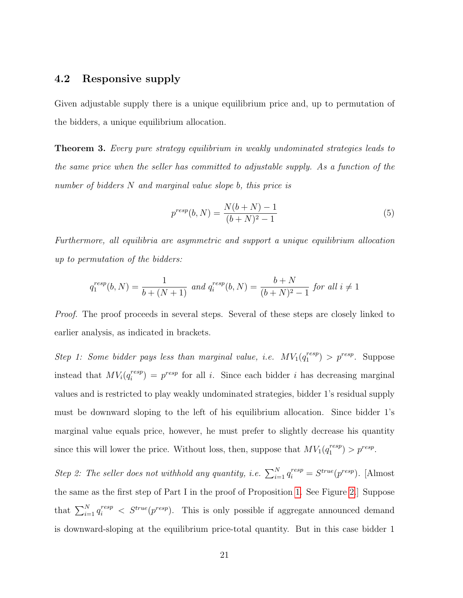#### 4.2 Responsive supply

Given adjustable supply there is a unique equilibrium price and, up to permutation of the bidders, a unique equilibrium allocation.

Theorem 3. Every pure strategy equilibrium in weakly undominated strategies leads to the same price when the seller has committed to adjustable supply. As a function of the number of bidders N and marginal value slope b, this price is

<span id="page-20-0"></span>
$$
p^{resp}(b, N) = \frac{N(b+N) - 1}{(b+N)^2 - 1}
$$
\n(5)

Furthermore, all equilibria are asymmetric and support a unique equilibrium allocation up to permutation of the bidders:

$$
q_1^{resp}(b, N) = \frac{1}{b + (N+1)} \text{ and } q_i^{resp}(b, N) = \frac{b+N}{(b+N)^2 - 1} \text{ for all } i \neq 1
$$

*Proof.* The proof proceeds in several steps. Several of these steps are closely linked to earlier analysis, as indicated in brackets.

Step 1: Some bidder pays less than marginal value, i.e.  $MV_1(q_1^{resp})$  $j_1^{resp}$  >  $p^{resp}$ . Suppose instead that  $MV_i(q_i^{resp})$  $i_i^{resp}$  =  $p^{resp}$  for all *i*. Since each bidder *i* has decreasing marginal values and is restricted to play weakly undominated strategies, bidder 1's residual supply must be downward sloping to the left of his equilibrium allocation. Since bidder 1's marginal value equals price, however, he must prefer to slightly decrease his quantity since this will lower the price. Without loss, then, suppose that  $MV_1(q_1^{resp})$  $j^{resp}_{1}$  >  $p^{resp}.$ 

Step 2: The seller does not withhold any quantity, i.e.  $\sum_{i=1}^{N} q_i^{resp} = S^{true}(p^{resp})$ . [Almost the same as the first step of Part I in the proof of Proposition [1.](#page-9-1) See Figure [2.](#page-10-0)] Suppose that  $\sum_{i=1}^{N} q_i^{resp} < S^{true}(p^{resp})$ . This is only possible if aggregate announced demand is downward-sloping at the equilibrium price-total quantity. But in this case bidder 1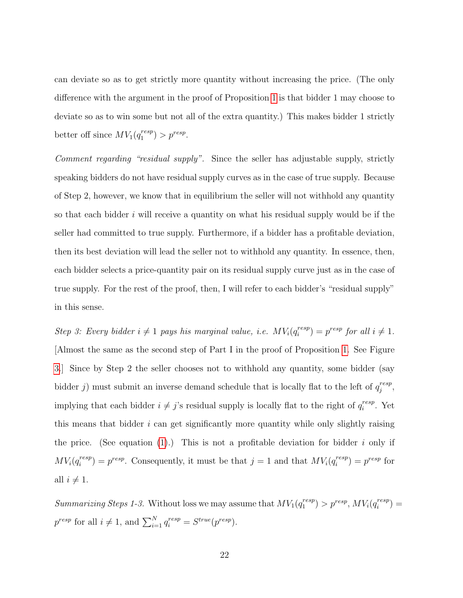can deviate so as to get strictly more quantity without increasing the price. (The only difference with the argument in the proof of Proposition [1](#page-9-1) is that bidder 1 may choose to deviate so as to win some but not all of the extra quantity.) This makes bidder 1 strictly better off since  $MV_1(q_1^{resp})$  $j^{resp}_{1}$  >  $p^{resp}.$ 

Comment regarding "residual supply". Since the seller has adjustable supply, strictly speaking bidders do not have residual supply curves as in the case of true supply. Because of Step 2, however, we know that in equilibrium the seller will not withhold any quantity so that each bidder  $i$  will receive a quantity on what his residual supply would be if the seller had committed to true supply. Furthermore, if a bidder has a profitable deviation, then its best deviation will lead the seller not to withhold any quantity. In essence, then, each bidder selects a price-quantity pair on its residual supply curve just as in the case of true supply. For the rest of the proof, then, I will refer to each bidder's "residual supply" in this sense.

Step 3: Every bidder  $i \neq 1$  pays his marginal value, i.e.  $MV_i(q_i^{resp})$  $i^{resp}$  =  $p^{resp}$  for all  $i \neq 1$ . [Almost the same as the second step of Part I in the proof of Proposition [1.](#page-9-1) See Figure [3.](#page-11-0)] Since by Step 2 the seller chooses not to withhold any quantity, some bidder (say bidder j) must submit an inverse demand schedule that is locally flat to the left of  $q_i^{resp}$  $\frac{resp}{j},$ implying that each bidder  $i \neq j$ 's residual supply is locally flat to the right of  $q_i^{resp}$  $i^{resp}$ . Yet this means that bidder  $i$  can get significantly more quantity while only slightly raising the price. (See equation [\(1\)](#page-11-1).) This is not a profitable deviation for bidder i only if  $MV_i(q_i^{resp}$  $i^{resp}$ ) =  $p^{resp}$ . Consequently, it must be that  $j = 1$  and that  $MV_i(q_i^{resp})$  $i^{resp}$ ) =  $p^{resp}$  for all  $i \neq 1$ .

Summarizing Steps 1-3. Without loss we may assume that  $MV_1(q_1^{resp})$  $j_1^{resp}$ ) >  $p^{resp}$ ,  $MV_i(q_i^{resp})$  $i^{resp}$ )  $=$  $p^{resp}$  for all  $i \neq 1$ , and  $\sum_{i=1}^{N} q_i^{resp} = S^{true}(p^{resp}).$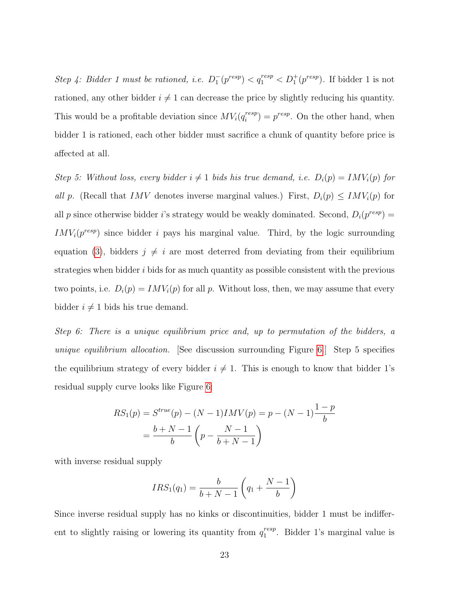Step 4: Bidder 1 must be rationed, i.e.  $D_1^-(p^{resp}) < q_1^{resp} < D_1^+(p^{resp})$ . If bidder 1 is not rationed, any other bidder  $i \neq 1$  can decrease the price by slightly reducing his quantity. This would be a profitable deviation since  $MV_i(q_i^{resp})$  $i^{resp}$  =  $p^{resp}$ . On the other hand, when bidder 1 is rationed, each other bidder must sacrifice a chunk of quantity before price is affected at all.

Step 5: Without loss, every bidder  $i \neq 1$  bids his true demand, i.e.  $D_i(p) = IMV_i(p)$  for all p. (Recall that IMV denotes inverse marginal values.) First,  $D_i(p) \leq INV_i(p)$  for all p since otherwise bidder i's strategy would be weakly dominated. Second,  $D_i(p^{resp}) =$  $IMV_i(p^{resp})$  since bidder i pays his marginal value. Third, by the logic surrounding equation [\(3\)](#page-15-0), bidders  $j \neq i$  are most deterred from deviating from their equilibrium strategies when bidder  $i$  bids for as much quantity as possible consistent with the previous two points, i.e.  $D_i(p) = IMV_i(p)$  for all p. Without loss, then, we may assume that every bidder  $i \neq 1$  bids his true demand.

Step 6: There is a unique equilibrium price and, up to permutation of the bidders, a unique equilibrium allocation. [See discussion surrounding Figure [6.](#page-17-1)] Step 5 specifies the equilibrium strategy of every bidder  $i \neq 1$ . This is enough to know that bidder 1's residual supply curve looks like Figure [6:](#page-17-1)

$$
RS_1(p) = S^{true}(p) - (N-1)IMV(p) = p - (N-1)\frac{1-p}{b}
$$

$$
= \frac{b+N-1}{b} \left(p - \frac{N-1}{b+N-1}\right)
$$

with inverse residual supply

$$
IRS_1(q_1) = \frac{b}{b+N-1} \left(q_1 + \frac{N-1}{b}\right)
$$

Since inverse residual supply has no kinks or discontinuities, bidder 1 must be indifferent to slightly raising or lowering its quantity from  $q_1^{resp}$  $i_1^{resp}$ . Bidder 1's marginal value is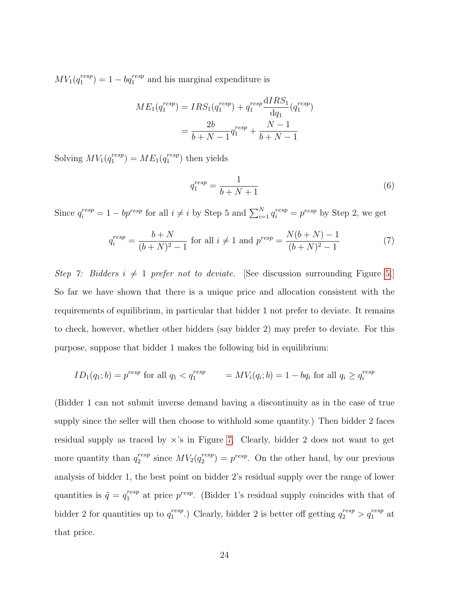$MV_1(q_1^{resp}$  $\binom{resp}{1}$  = 1 –  $bq_1^{resp}$  and his marginal expenditure is

$$
ME_1(q_1^{resp}) = IRS_1(q_1^{resp}) + q_1^{resp} \frac{dIRS_1}{dq_1}(q_1^{resp})
$$

$$
= \frac{2b}{b+N-1}q_1^{resp} + \frac{N-1}{b+N-1}
$$

Solving  $MV_1(q_1^{resp}$  $_1^{resp}$ ) =  $ME_1(q_1^{resp})$  $_1^{resp}$ ) then yields

<span id="page-23-0"></span>
$$
q_1^{resp} = \frac{1}{b+N+1} \tag{6}
$$

Since  $q_i^{resp} = 1 - bp^{resp}$  for all  $i \neq i$  by Step 5 and  $\sum_{i=1}^{N} q_i^{resp} = p^{resp}$  by Step 2, we get

<span id="page-23-1"></span>
$$
q_i^{resp} = \frac{b+N}{(b+N)^2 - 1} \text{ for all } i \neq 1 \text{ and } p^{resp} = \frac{N(b+N) - 1}{(b+N)^2 - 1}
$$
 (7)

Step 7: Bidders  $i \neq 1$  prefer not to deviate. [See discussion surrounding Figure [5.](#page-16-0)] So far we have shown that there is a unique price and allocation consistent with the requirements of equilibrium, in particular that bidder 1 not prefer to deviate. It remains to check, however, whether other bidders (say bidder 2) may prefer to deviate. For this purpose, suppose that bidder 1 makes the following bid in equilibrium:

$$
ID_1(q_1; b) = p^{resp}
$$
 for all  $q_1 < q_1^{resp} = MV_i(q_i; b) = 1 - bq_i$  for all  $q_i \ge q_i^{resp}$ 

(Bidder 1 can not submit inverse demand having a discontinuity as in the case of true supply since the seller will then choose to withhold some quantity.) Then bidder 2 faces residual supply as traced by  $\times$ 's in Figure [7.](#page-24-0) Clearly, bidder 2 does not want to get more quantity than  $q_2^{resp}$  $_2^{resp}$  since  $MV_2(q_2^{resp})$  $\binom{resp}{2} = p^{resp}$ . On the other hand, by our previous analysis of bidder 1, the best point on bidder 2's residual supply over the range of lower quantities is  $\tilde{q} = q_1^{resp}$  $_1^{resp}$  at price  $p^{resp}$ . (Bidder 1's residual supply coincides with that of bidder 2 for quantities up to  $q_1^{resp}$ <sup>resp</sup>.) Clearly, bidder 2 is better off getting  $q_2^{resp} > q_1^{resp}$  at that price.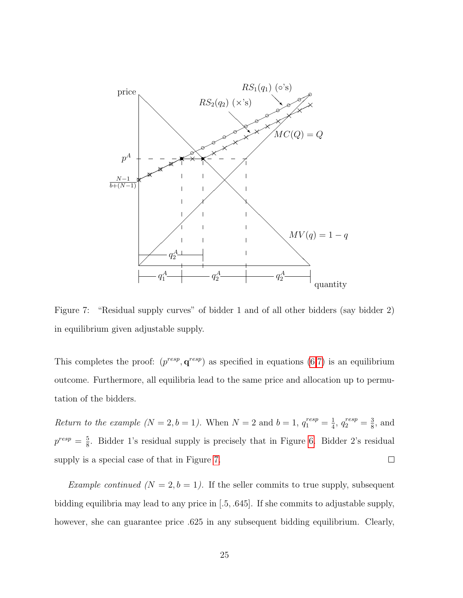

<span id="page-24-0"></span>Figure 7: "Residual supply curves" of bidder 1 and of all other bidders (say bidder 2) in equilibrium given adjustable supply.

This completes the proof:  $(p^{resp}, q^{resp})$  as specified in equations  $(6,7)$  $(6,7)$  is an equilibrium outcome. Furthermore, all equilibria lead to the same price and allocation up to permutation of the bidders.

Return to the example  $(N = 2, b = 1)$ . When  $N = 2$  and  $b = 1, q_1^{resp} = \frac{1}{4}$  $\frac{1}{4}$ ,  $q_2^{resp} = \frac{3}{8}$  $\frac{3}{8}$ , and  $p^{resp} = \frac{5}{8}$  $\frac{5}{8}$ . Bidder 1's residual supply is precisely that in Figure [6.](#page-17-1) Bidder 2's residual supply is a special case of that in Figure [7.](#page-24-0)  $\Box$ 

Example continued  $(N = 2, b = 1)$ . If the seller commits to true supply, subsequent bidding equilibria may lead to any price in [.5, .645]. If she commits to adjustable supply, however, she can guarantee price .625 in any subsequent bidding equilibrium. Clearly,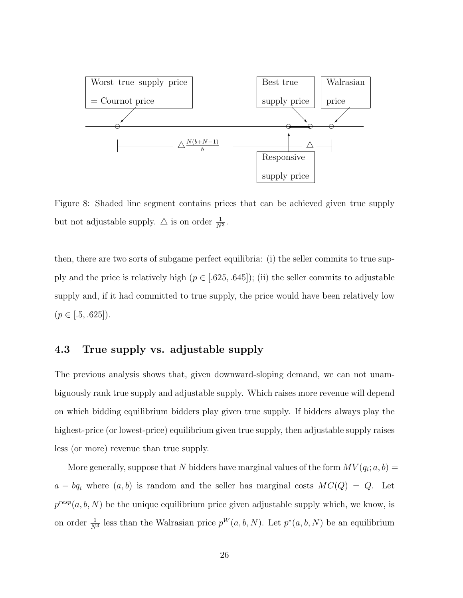

<span id="page-25-0"></span>Figure 8: Shaded line segment contains prices that can be achieved given true supply but not adjustable supply.  $\triangle$  is on order  $\frac{1}{N^3}$ .

then, there are two sorts of subgame perfect equilibria: (i) the seller commits to true supply and the price is relatively high  $(p \in [.625, .645])$ ; (ii) the seller commits to adjustable supply and, if it had committed to true supply, the price would have been relatively low  $(p \in [.5, .625]).$ 

#### 4.3 True supply vs. adjustable supply

The previous analysis shows that, given downward-sloping demand, we can not unambiguously rank true supply and adjustable supply. Which raises more revenue will depend on which bidding equilibrium bidders play given true supply. If bidders always play the highest-price (or lowest-price) equilibrium given true supply, then adjustable supply raises less (or more) revenue than true supply.

More generally, suppose that N bidders have marginal values of the form  $MV(q_i; a, b) =$  $a - bq_i$  where  $(a, b)$  is random and the seller has marginal costs  $MC(Q) = Q$ . Let  $p^{resp}(a, b, N)$  be the unique equilibrium price given adjustable supply which, we know, is on order  $\frac{1}{N^3}$  less than the Walrasian price  $p^W(a, b, N)$ . Let  $p^*(a, b, N)$  be an equilibrium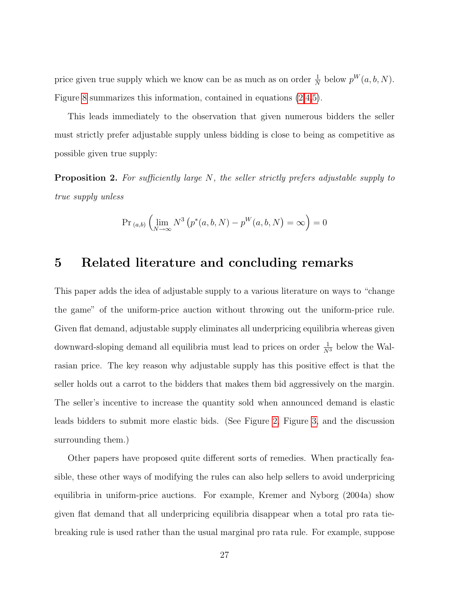price given true supply which we know can be as much as on order  $\frac{1}{N}$  below  $p^{W}(a, b, N)$ . Figure [8](#page-25-0) summarizes this information, contained in equations [\(2,](#page-13-1)[4](#page-19-0)[,5\)](#page-20-0).

This leads immediately to the observation that given numerous bidders the seller must strictly prefer adjustable supply unless bidding is close to being as competitive as possible given true supply:

**Proposition 2.** For sufficiently large  $N$ , the seller strictly prefers adjustable supply to true supply unless

$$
\Pr_{(a,b)}\left(\lim_{N\to\infty} N^3\left(p^*(a,b,N)-p^W(a,b,N)\right)=\infty\right)=0
$$

# <span id="page-26-0"></span>5 Related literature and concluding remarks

This paper adds the idea of adjustable supply to a various literature on ways to "change the game" of the uniform-price auction without throwing out the uniform-price rule. Given flat demand, adjustable supply eliminates all underpricing equilibria whereas given downward-sloping demand all equilibria must lead to prices on order  $\frac{1}{N^3}$  below the Walrasian price. The key reason why adjustable supply has this positive effect is that the seller holds out a carrot to the bidders that makes them bid aggressively on the margin. The seller's incentive to increase the quantity sold when announced demand is elastic leads bidders to submit more elastic bids. (See Figure [2,](#page-10-0) Figure [3,](#page-11-0) and the discussion surrounding them.)

Other papers have proposed quite different sorts of remedies. When practically feasible, these other ways of modifying the rules can also help sellers to avoid underpricing equilibria in uniform-price auctions. For example, Kremer and Nyborg (2004a) show given flat demand that all underpricing equilibria disappear when a total pro rata tiebreaking rule is used rather than the usual marginal pro rata rule. For example, suppose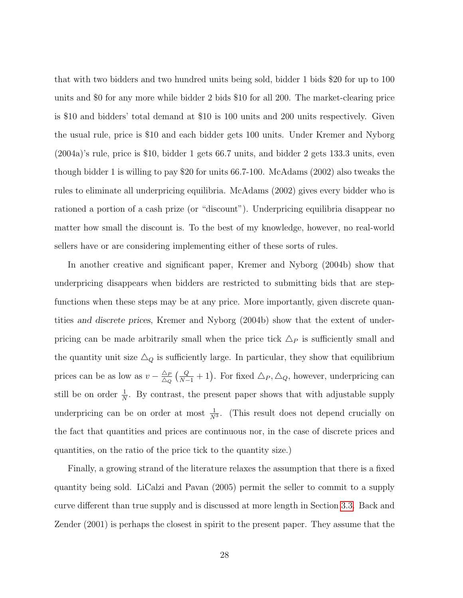that with two bidders and two hundred units being sold, bidder 1 bids \$20 for up to 100 units and \$0 for any more while bidder 2 bids \$10 for all 200. The market-clearing price is \$10 and bidders' total demand at \$10 is 100 units and 200 units respectively. Given the usual rule, price is \$10 and each bidder gets 100 units. Under Kremer and Nyborg (2004a)'s rule, price is \$10, bidder 1 gets 66.7 units, and bidder 2 gets 133.3 units, even though bidder 1 is willing to pay \$20 for units 66.7-100. McAdams (2002) also tweaks the rules to eliminate all underpricing equilibria. McAdams (2002) gives every bidder who is rationed a portion of a cash prize (or "discount"). Underpricing equilibria disappear no matter how small the discount is. To the best of my knowledge, however, no real-world sellers have or are considering implementing either of these sorts of rules.

In another creative and significant paper, Kremer and Nyborg (2004b) show that underpricing disappears when bidders are restricted to submitting bids that are stepfunctions when these steps may be at any price. More importantly, given discrete quantities and discrete prices, Kremer and Nyborg (2004b) show that the extent of underpricing can be made arbitrarily small when the price tick  $\Delta_P$  is sufficiently small and the quantity unit size  $\triangle_Q$  is sufficiently large. In particular, they show that equilibrium prices can be as low as  $v - \frac{\Delta_P}{\Delta_P}$  $\frac{\Delta_P}{\Delta_Q} \left( \frac{Q}{N-1} + 1 \right)$ . For fixed  $\Delta_P$ ,  $\Delta_Q$ , however, underpricing can still be on order  $\frac{1}{N}$ . By contrast, the present paper shows that with adjustable supply underpricing can be on order at most  $\frac{1}{N^3}$ . (This result does not depend crucially on the fact that quantities and prices are continuous nor, in the case of discrete prices and quantities, on the ratio of the price tick to the quantity size.)

Finally, a growing strand of the literature relaxes the assumption that there is a fixed quantity being sold. LiCalzi and Pavan (2005) permit the seller to commit to a supply curve different than true supply and is discussed at more length in Section [3.3.](#page-12-0) Back and Zender (2001) is perhaps the closest in spirit to the present paper. They assume that the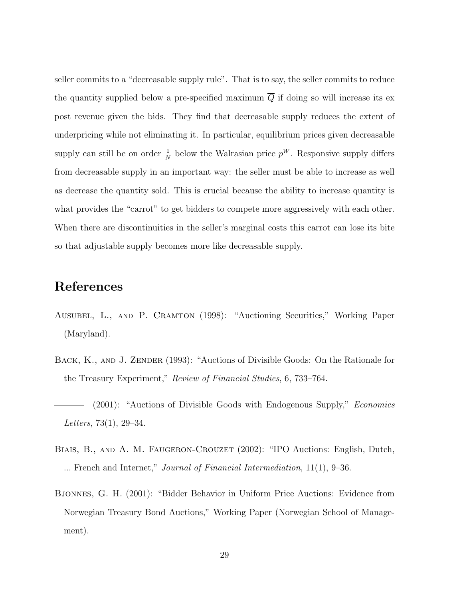seller commits to a "decreasable supply rule". That is to say, the seller commits to reduce the quantity supplied below a pre-specified maximum  $\overline{Q}$  if doing so will increase its ex post revenue given the bids. They find that decreasable supply reduces the extent of underpricing while not eliminating it. In particular, equilibrium prices given decreasable supply can still be on order  $\frac{1}{N}$  below the Walrasian price  $p^W$ . Responsive supply differs from decreasable supply in an important way: the seller must be able to increase as well as decrease the quantity sold. This is crucial because the ability to increase quantity is what provides the "carrot" to get bidders to compete more aggressively with each other. When there are discontinuities in the seller's marginal costs this carrot can lose its bite so that adjustable supply becomes more like decreasable supply.

# References

- Ausubel, L., and P. Cramton (1998): "Auctioning Securities," Working Paper (Maryland).
- BACK, K., AND J. ZENDER (1993): "Auctions of Divisible Goods: On the Rationale for the Treasury Experiment," Review of Financial Studies, 6, 733–764.
- (2001): "Auctions of Divisible Goods with Endogenous Supply," Economics Letters, 73(1), 29–34.
- BIAIS, B., AND A. M. FAUGERON-CROUZET (2002): "IPO Auctions: English, Dutch, ... French and Internet," Journal of Financial Intermediation, 11(1), 9–36.
- Bjonnes, G. H. (2001): "Bidder Behavior in Uniform Price Auctions: Evidence from Norwegian Treasury Bond Auctions," Working Paper (Norwegian School of Management).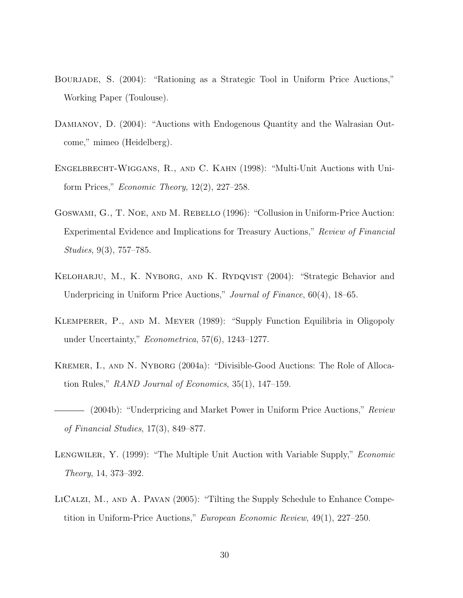- Bourjade, S. (2004): "Rationing as a Strategic Tool in Uniform Price Auctions," Working Paper (Toulouse).
- DAMIANOV, D. (2004): "Auctions with Endogenous Quantity and the Walrasian Outcome," mimeo (Heidelberg).
- Engelbrecht-Wiggans, R., and C. Kahn (1998): "Multi-Unit Auctions with Uniform Prices," Economic Theory, 12(2), 227–258.
- Goswami, G., T. Noe, and M. Rebello (1996): "Collusion in Uniform-Price Auction: Experimental Evidence and Implications for Treasury Auctions," Review of Financial Studies, 9(3), 757–785.
- Keloharju, M., K. Nyborg, and K. Rydqvist (2004): "Strategic Behavior and Underpricing in Uniform Price Auctions," Journal of Finance, 60(4), 18–65.
- Klemperer, P., and M. Meyer (1989): "Supply Function Equilibria in Oligopoly under Uncertainty," Econometrica, 57(6), 1243–1277.
- Kremer, I., and N. Nyborg (2004a): "Divisible-Good Auctions: The Role of Allocation Rules," RAND Journal of Economics, 35(1), 147–159.

- LENGWILER, Y. (1999): "The Multiple Unit Auction with Variable Supply," *Economic* Theory, 14, 373–392.
- LICALZI, M., AND A. PAVAN (2005): "Tilting the Supply Schedule to Enhance Competition in Uniform-Price Auctions," European Economic Review, 49(1), 227–250.

<sup>(2004</sup>b): "Underpricing and Market Power in Uniform Price Auctions," Review of Financial Studies, 17(3), 849–877.